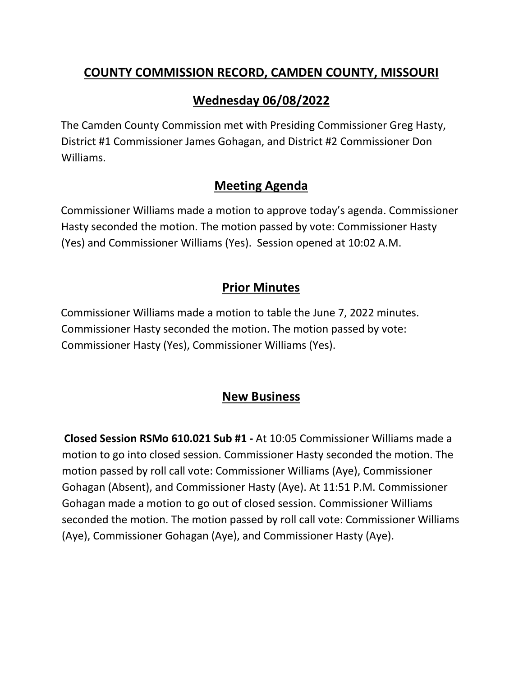### **COUNTY COMMISSION RECORD, CAMDEN COUNTY, MISSOURI**

### **Wednesday 06/08/2022**

The Camden County Commission met with Presiding Commissioner Greg Hasty, District #1 Commissioner James Gohagan, and District #2 Commissioner Don Williams.

### **Meeting Agenda**

Commissioner Williams made a motion to approve today's agenda. Commissioner Hasty seconded the motion. The motion passed by vote: Commissioner Hasty (Yes) and Commissioner Williams (Yes). Session opened at 10:02 A.M.

# **Prior Minutes**

Commissioner Williams made a motion to table the June 7, 2022 minutes. Commissioner Hasty seconded the motion. The motion passed by vote: Commissioner Hasty (Yes), Commissioner Williams (Yes).

# **New Business**

**Closed Session RSMo 610.021 Sub #1 -** At 10:05 Commissioner Williams made a motion to go into closed session. Commissioner Hasty seconded the motion. The motion passed by roll call vote: Commissioner Williams (Aye), Commissioner Gohagan (Absent), and Commissioner Hasty (Aye). At 11:51 P.M. Commissioner Gohagan made a motion to go out of closed session. Commissioner Williams seconded the motion. The motion passed by roll call vote: Commissioner Williams (Aye), Commissioner Gohagan (Aye), and Commissioner Hasty (Aye).